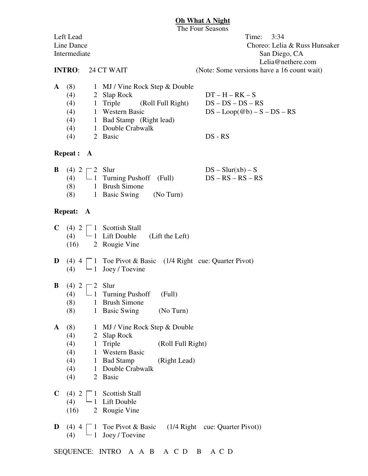#### **Oh What A Night**

The Four Seasons Left Lead Time: 3:34 Line Dance Choreo: Lelia & Russ Hunsaker Intermediate San Diego, CA Lelia@nethere.com **INTRO**: 24 CT WAIT (Note: Some versions have a 16 count wait) **A** (8) 1 MJ / Vine Rock Step & Double

| (4) | 2 Slap Rock                   | $DT-H-RK-S$                                 |
|-----|-------------------------------|---------------------------------------------|
| (4) | 1 Triple<br>(Roll Full Right) | $DS - DS - DS - RS$                         |
| (4) | 1 Western Basic               | $DS - Loop(\textcircled{a}b) - S - DS - RS$ |
| (4) | 1 Bad Stamp (Right lead)      |                                             |
| (4) | 1 Double Crabwalk             |                                             |
| (4) | 2 Basic                       | $DS - RS$                                   |

#### **Repeat : A**

| <b>B</b> (4) $2 \sqsubset 2$ Slur |                                     | $DS - Slur(xb) - S$ |
|-----------------------------------|-------------------------------------|---------------------|
|                                   | (4) $\Box$ 1 Turning Pushoff (Full) | $DS - RS - RS - RS$ |
| (8)                               | 1 Brush Simone                      |                     |
| (8)                               | 1 Basic Swing (No Turn)             |                     |

### **Repeat: A**

|      |               | <b>C</b> (4) $2 \begin{bmatrix} 1 \\ 1 \end{bmatrix}$ Scottish Stall<br>(4) $\begin{bmatrix} 1 \\ 1 \end{bmatrix}$ Lift Double (Lift the Left) |
|------|---------------|------------------------------------------------------------------------------------------------------------------------------------------------|
|      |               |                                                                                                                                                |
| (16) | 2 Rougie Vine |                                                                                                                                                |

**D** (4)  $4 \cap 1$  Toe Pivot & Basic (1/4 Right cue: Quarter Pivot) (4)  $\Box$  1 Joey / Toevine

## **B** (4)  $2 \rceil 2$  Slur

- (4)  $\Box$  1 Turning Pushoff (Full)
- (8) 1 Brush Simone
- (8) 1 Basic Swing (No Turn)
- **A** (8) 1 MJ / Vine Rock Step & Double
	- (4) 2 Slap Rock
	- (4) 1 Triple (Roll Full Right)
	- (4) 1 Western Basic
	- (4) 1 Bad Stamp (Right Lead)
	- (4) 1 Double Crabwalk
	- (4) 2 Basic
- **C** (4)  $2 \square 1$  Scottish Stall
	- (4)  $\Box$  1 Lift Double
	- (16) 2 Rougie Vine
- **D** (4)  $4 \cap 1$  Toe Pivot & Basic (1/4 Right cue: Quarter Pivot)) (4)  $\Box$  1 Joey / Toevine

SEQUENCE: INTRO A A B A C D B A C D